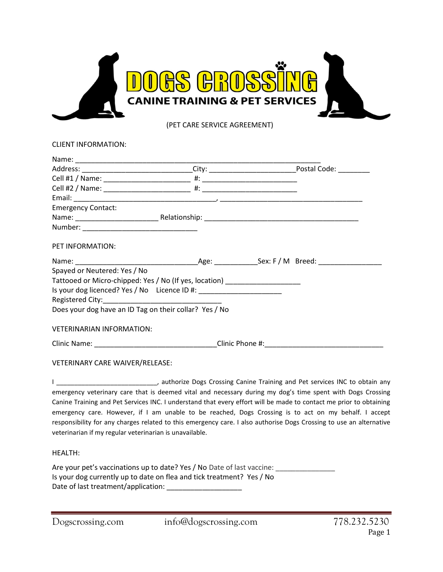

(PET CARE SERVICE AGREEMENT)

| CLIENT INFORMATION: |  |
|---------------------|--|
|---------------------|--|

| Address: ________________________________City: ________________________________Postal Code: _____________                                                                                                                      |  |  |
|--------------------------------------------------------------------------------------------------------------------------------------------------------------------------------------------------------------------------------|--|--|
|                                                                                                                                                                                                                                |  |  |
|                                                                                                                                                                                                                                |  |  |
|                                                                                                                                                                                                                                |  |  |
| <b>Emergency Contact:</b>                                                                                                                                                                                                      |  |  |
|                                                                                                                                                                                                                                |  |  |
|                                                                                                                                                                                                                                |  |  |
| PET INFORMATION:                                                                                                                                                                                                               |  |  |
|                                                                                                                                                                                                                                |  |  |
| Spayed or Neutered: Yes / No                                                                                                                                                                                                   |  |  |
| Tattooed or Micro-chipped: Yes / No (If yes, location) _________________________                                                                                                                                               |  |  |
| Is your dog licenced? Yes / No Licence ID #: \\cdots \\sqrt{\sqrt{\sqrt{\sqrt{\sqrt{\sqrt{\sqrt{\sqrt{\sqrt{\sqrt{\sqrt{\sqrt{\sqrt{\sqrt{\sqrt{\sqrt{\sqrt{\sqrt{\sqrt{\sqrt{\sqrt{\sqrt{\sqrt{\sqrt{\sqrt{\sqrt{\sqrt{\sqrt{ |  |  |
|                                                                                                                                                                                                                                |  |  |
| Does your dog have an ID Tag on their collar? Yes / No                                                                                                                                                                         |  |  |
| <b>VETERINARIAN INFORMATION:</b>                                                                                                                                                                                               |  |  |
|                                                                                                                                                                                                                                |  |  |
| VETERINARY CARE WAIVER/RELEASE:                                                                                                                                                                                                |  |  |
| المناسب المستقلة والمستحيل والمتناقص والمستحيل والمستحيل والمستحيل والمستحيل والمستحيل والمستحيل والمستحيل والمستحيل                                                                                                           |  |  |

emergency veterinary care that is deemed vital and necessary during my dog's time spent with Dogs Crossing Canine Training and Pet Services INC. I understand that every effort will be made to contact me prior to obtaining emergency care. However, if I am unable to be reached, Dogs Crossing is to act on my behalf. I accept responsibility for any charges related to this emergency care. I also authorise Dogs Crossing to use an alternative veterinarian if my regular veterinarian is unavailable.

# HEALTH:

Are your pet's vaccinations up to date? Yes / No Date of last vaccine: \_\_\_\_\_\_\_\_\_ Is your dog currently up to date on flea and tick treatment? Yes / No Date of last treatment/application: \_\_\_\_\_\_\_\_\_\_\_\_\_\_\_\_\_\_\_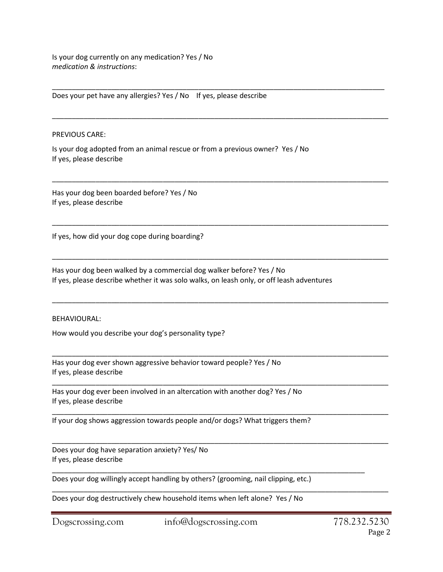Is your dog currently on any medication? Yes / No medication & instructions:

Does your pet have any allergies? Yes / No If yes, please describe

### PREVIOUS CARE:

Is your dog adopted from an animal rescue or from a previous owner? Yes / No If yes, please describe

\_\_\_\_\_\_\_\_\_\_\_\_\_\_\_\_\_\_\_\_\_\_\_\_\_\_\_\_\_\_\_\_\_\_\_\_\_\_\_\_\_\_\_\_\_\_\_\_\_\_\_\_\_\_\_\_\_\_\_\_\_\_\_\_\_\_\_\_\_\_\_\_\_\_\_\_\_\_\_\_\_\_\_\_

\_\_\_\_\_\_\_\_\_\_\_\_\_\_\_\_\_\_\_\_\_\_\_\_\_\_\_\_\_\_\_\_\_\_\_\_\_\_\_\_\_\_\_\_\_\_\_\_\_\_\_\_\_\_\_\_\_\_\_\_\_\_\_\_\_\_\_\_\_\_\_\_\_\_\_\_\_\_\_\_\_\_\_\_\_

\_\_\_\_\_\_\_\_\_\_\_\_\_\_\_\_\_\_\_\_\_\_\_\_\_\_\_\_\_\_\_\_\_\_\_\_\_\_\_\_\_\_\_\_\_\_\_\_\_\_\_\_\_\_\_\_\_\_\_\_\_\_\_\_\_\_\_\_\_\_\_\_\_\_\_\_\_\_\_\_\_\_\_\_\_

\_\_\_\_\_\_\_\_\_\_\_\_\_\_\_\_\_\_\_\_\_\_\_\_\_\_\_\_\_\_\_\_\_\_\_\_\_\_\_\_\_\_\_\_\_\_\_\_\_\_\_\_\_\_\_\_\_\_\_\_\_\_\_\_\_\_\_\_\_\_\_\_\_\_\_\_\_\_\_\_\_\_\_\_\_

\_\_\_\_\_\_\_\_\_\_\_\_\_\_\_\_\_\_\_\_\_\_\_\_\_\_\_\_\_\_\_\_\_\_\_\_\_\_\_\_\_\_\_\_\_\_\_\_\_\_\_\_\_\_\_\_\_\_\_\_\_\_\_\_\_\_\_\_\_\_\_\_\_\_\_\_\_\_\_\_\_\_\_\_\_

\_\_\_\_\_\_\_\_\_\_\_\_\_\_\_\_\_\_\_\_\_\_\_\_\_\_\_\_\_\_\_\_\_\_\_\_\_\_\_\_\_\_\_\_\_\_\_\_\_\_\_\_\_\_\_\_\_\_\_\_\_\_\_\_\_\_\_\_\_\_\_\_\_\_\_\_\_\_\_\_\_\_\_\_\_

\_\_\_\_\_\_\_\_\_\_\_\_\_\_\_\_\_\_\_\_\_\_\_\_\_\_\_\_\_\_\_\_\_\_\_\_\_\_\_\_\_\_\_\_\_\_\_\_\_\_\_\_\_\_\_\_\_\_\_\_\_\_\_\_\_\_\_\_\_\_\_\_\_\_\_\_\_\_\_\_\_\_\_\_\_

\_\_\_\_\_\_\_\_\_\_\_\_\_\_\_\_\_\_\_\_\_\_\_\_\_\_\_\_\_\_\_\_\_\_\_\_\_\_\_\_\_\_\_\_\_\_\_\_\_\_\_\_\_\_\_\_\_\_\_\_\_\_\_\_\_\_\_\_\_\_\_\_\_\_\_\_\_\_\_\_\_\_\_\_\_

\_\_\_\_\_\_\_\_\_\_\_\_\_\_\_\_\_\_\_\_\_\_\_\_\_\_\_\_\_\_\_\_\_\_\_\_\_\_\_\_\_\_\_\_\_\_\_\_\_\_\_\_\_\_\_\_\_\_\_\_\_\_\_\_\_\_\_\_\_\_\_\_\_\_\_\_\_\_\_\_\_\_\_\_\_

\_\_\_\_\_\_\_\_\_\_\_\_\_\_\_\_\_\_\_\_\_\_\_\_\_\_\_\_\_\_\_\_\_\_\_\_\_\_\_\_\_\_\_\_\_\_\_\_\_\_\_\_\_\_\_\_\_\_\_\_\_\_\_\_\_\_\_\_\_\_\_\_\_\_\_\_\_\_\_\_\_\_\_\_\_

\_\_\_\_\_\_\_\_\_\_\_\_\_\_\_\_\_\_\_\_\_\_\_\_\_\_\_\_\_\_\_\_\_\_\_\_\_\_\_\_\_\_\_\_\_\_\_\_\_\_\_\_\_\_\_\_\_\_\_\_\_\_\_\_\_\_\_\_\_\_\_\_\_\_\_\_\_\_\_\_\_\_\_\_\_

Has your dog been boarded before? Yes / No If yes, please describe

If yes, how did your dog cope during boarding?

Has your dog been walked by a commercial dog walker before? Yes / No If yes, please describe whether it was solo walks, on leash only, or off leash adventures

### BEHAVIOURAL:

How would you describe your dog's personality type?

Has your dog ever shown aggressive behavior toward people? Yes / No If yes, please describe

Has your dog ever been involved in an altercation with another dog? Yes / No If yes, please describe

If your dog shows aggression towards people and/or dogs? What triggers them?

Does your dog have separation anxiety? Yes/ No If yes, please describe

Does your dog willingly accept handling by others? (grooming, nail clipping, etc.)

Does your dog destructively chew household items when left alone? Yes / No

\_\_\_\_\_\_\_\_\_\_\_\_\_\_\_\_\_\_\_\_\_\_\_\_\_\_\_\_\_\_\_\_\_\_\_\_\_\_\_\_\_\_\_\_\_\_\_\_\_\_\_\_\_\_\_\_\_\_\_\_\_\_\_\_\_\_\_\_\_\_\_\_\_\_\_\_\_\_\_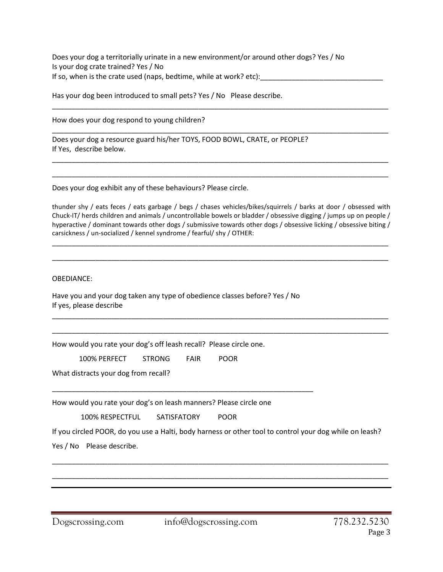Does your dog a territorially urinate in a new environment/or around other dogs? Yes / No Is your dog crate trained? Yes / No If so, when is the crate used (naps, bedtime, while at work? etc):

Has your dog been introduced to small pets? Yes / No Please describe.

How does your dog respond to young children?

Does your dog a resource guard his/her TOYS, FOOD BOWL, CRATE, or PEOPLE? If Yes, describe below.

Does your dog exhibit any of these behaviours? Please circle.

thunder shy / eats feces / eats garbage / begs / chases vehicles/bikes/squirrels / barks at door / obsessed with Chuck-IT/ herds children and animals / uncontrollable bowels or bladder / obsessive digging / jumps up on people / hyperactive / dominant towards other dogs / submissive towards other dogs / obsessive licking / obsessive biting / carsickness / un-socialized / kennel syndrome / fearful/ shy / OTHER:

\_\_\_\_\_\_\_\_\_\_\_\_\_\_\_\_\_\_\_\_\_\_\_\_\_\_\_\_\_\_\_\_\_\_\_\_\_\_\_\_\_\_\_\_\_\_\_\_\_\_\_\_\_\_\_\_\_\_\_\_\_\_\_\_\_\_\_\_\_\_\_\_\_\_\_\_\_\_\_\_\_\_\_\_\_

\_\_\_\_\_\_\_\_\_\_\_\_\_\_\_\_\_\_\_\_\_\_\_\_\_\_\_\_\_\_\_\_\_\_\_\_\_\_\_\_\_\_\_\_\_\_\_\_\_\_\_\_\_\_\_\_\_\_\_\_\_\_\_\_\_\_\_\_\_\_\_\_\_\_\_\_\_\_\_\_\_\_\_\_\_

\_\_\_\_\_\_\_\_\_\_\_\_\_\_\_\_\_\_\_\_\_\_\_\_\_\_\_\_\_\_\_\_\_\_\_\_\_\_\_\_\_\_\_\_\_\_\_\_\_\_\_\_\_\_\_\_\_\_\_\_\_\_\_\_\_\_\_\_\_\_\_\_\_\_\_\_\_\_\_\_\_\_\_\_\_

\_\_\_\_\_\_\_\_\_\_\_\_\_\_\_\_\_\_\_\_\_\_\_\_\_\_\_\_\_\_\_\_\_\_\_\_\_\_\_\_\_\_\_\_\_\_\_\_\_\_\_\_\_\_\_\_\_\_\_\_\_\_\_\_\_\_\_\_\_\_\_\_\_\_\_\_\_\_\_\_\_\_\_\_\_

\_\_\_\_\_\_\_\_\_\_\_\_\_\_\_\_\_\_\_\_\_\_\_\_\_\_\_\_\_\_\_\_\_\_\_\_\_\_\_\_\_\_\_\_\_\_\_\_\_\_\_\_\_\_\_\_\_\_\_\_\_\_\_\_\_\_\_\_\_\_\_\_\_\_\_\_\_\_\_\_\_\_\_\_\_

\_\_\_\_\_\_\_\_\_\_\_\_\_\_\_\_\_\_\_\_\_\_\_\_\_\_\_\_\_\_\_\_\_\_\_\_\_\_\_\_\_\_\_\_\_\_\_\_\_\_\_\_\_\_\_\_\_\_\_\_\_\_\_\_\_\_\_\_\_\_\_\_\_\_\_\_\_\_\_\_\_\_\_\_\_

\_\_\_\_\_\_\_\_\_\_\_\_\_\_\_\_\_\_\_\_\_\_\_\_\_\_\_\_\_\_\_\_\_\_\_\_\_\_\_\_\_\_\_\_\_\_\_\_\_\_\_\_\_\_\_\_\_\_\_\_\_\_\_\_\_\_\_\_\_\_\_\_\_\_\_\_\_\_\_\_\_\_\_\_\_

\_\_\_\_\_\_\_\_\_\_\_\_\_\_\_\_\_\_\_\_\_\_\_\_\_\_\_\_\_\_\_\_\_\_\_\_\_\_\_\_\_\_\_\_\_\_\_\_\_\_\_\_\_\_\_\_\_\_\_\_\_\_\_\_\_\_\_\_\_\_\_\_\_\_\_\_\_\_\_\_\_\_\_\_\_

OBEDIANCE:

Have you and your dog taken any type of obedience classes before? Yes / No If yes, please describe

How would you rate your dog's off leash recall? Please circle one.

100% PERFECT STRONG FAIR POOR

What distracts your dog from recall?

How would you rate your dog's on leash manners? Please circle one

\_\_\_\_\_\_\_\_\_\_\_\_\_\_\_\_\_\_\_\_\_\_\_\_\_\_\_\_\_\_\_\_\_\_\_\_\_\_\_\_\_\_\_\_\_\_\_\_\_\_\_\_\_\_\_\_\_\_\_\_\_\_\_\_\_\_

100% RESPECTFUL SATISFATORY POOR

If you circled POOR, do you use a Halti, body harness or other tool to control your dog while on leash?

\_\_\_\_\_\_\_\_\_\_\_\_\_\_\_\_\_\_\_\_\_\_\_\_\_\_\_\_\_\_\_\_\_\_\_\_\_\_\_\_\_\_\_\_\_\_\_\_\_\_\_\_\_\_\_\_\_\_\_\_\_\_\_\_\_\_\_\_\_\_\_\_\_\_\_\_\_\_\_\_\_\_\_\_\_

\_\_\_\_\_\_\_\_\_\_\_\_\_\_\_\_\_\_\_\_\_\_\_\_\_\_\_\_\_\_\_\_\_\_\_\_\_\_\_\_\_\_\_\_\_\_\_\_\_\_\_\_\_\_\_\_\_\_\_\_\_\_\_\_\_\_\_\_\_\_\_\_\_\_\_\_\_\_\_\_\_\_\_\_\_

Yes / No Please describe.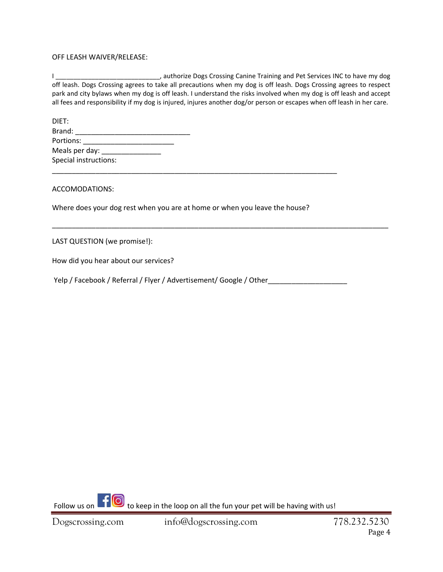## OFF LEASH WAIVER/RELEASE:

I \_\_\_\_\_\_\_\_\_\_\_\_\_\_\_\_\_\_\_\_\_\_\_\_\_\_\_\_\_\_\_, authorize Dogs Crossing Canine Training and Pet Services INC to have my dog off leash. Dogs Crossing agrees to take all precautions when my dog is off leash. Dogs Crossing agrees to respect park and city bylaws when my dog is off leash. I understand the risks involved when my dog is off leash and accept all fees and responsibility if my dog is injured, injures another dog/or person or escapes when off leash in her care.

\_\_\_\_\_\_\_\_\_\_\_\_\_\_\_\_\_\_\_\_\_\_\_\_\_\_\_\_\_\_\_\_\_\_\_\_\_\_\_\_\_\_\_\_\_\_\_\_\_\_\_\_\_\_\_\_\_\_\_\_\_\_\_\_\_\_\_\_\_\_\_\_\_\_\_\_\_\_\_\_\_\_\_\_\_

| DIET:                 |  |
|-----------------------|--|
| Brand:                |  |
| Portions:             |  |
| Meals per day: ___    |  |
| Special instructions: |  |

ACCOMODATIONS:

Where does your dog rest when you are at home or when you leave the house?

\_\_\_\_\_\_\_\_\_\_\_\_\_\_\_\_\_\_\_\_\_\_\_\_\_\_\_\_\_\_\_\_\_\_\_\_\_\_\_\_\_\_\_\_\_\_\_\_\_\_\_\_\_\_\_\_\_\_\_\_\_\_\_\_\_\_\_\_\_\_\_\_

LAST QUESTION (we promise!):

How did you hear about our services?

Yelp / Facebook / Referral / Flyer / Advertisement/ Google / Other

Follow us on  $\begin{array}{|c|c|c|c|c|c|}\hline \multicolumn{1}{|c|}{\text{to keep in the loop on all the fun your pet will be having with us!}} \\\hline \end{array}$